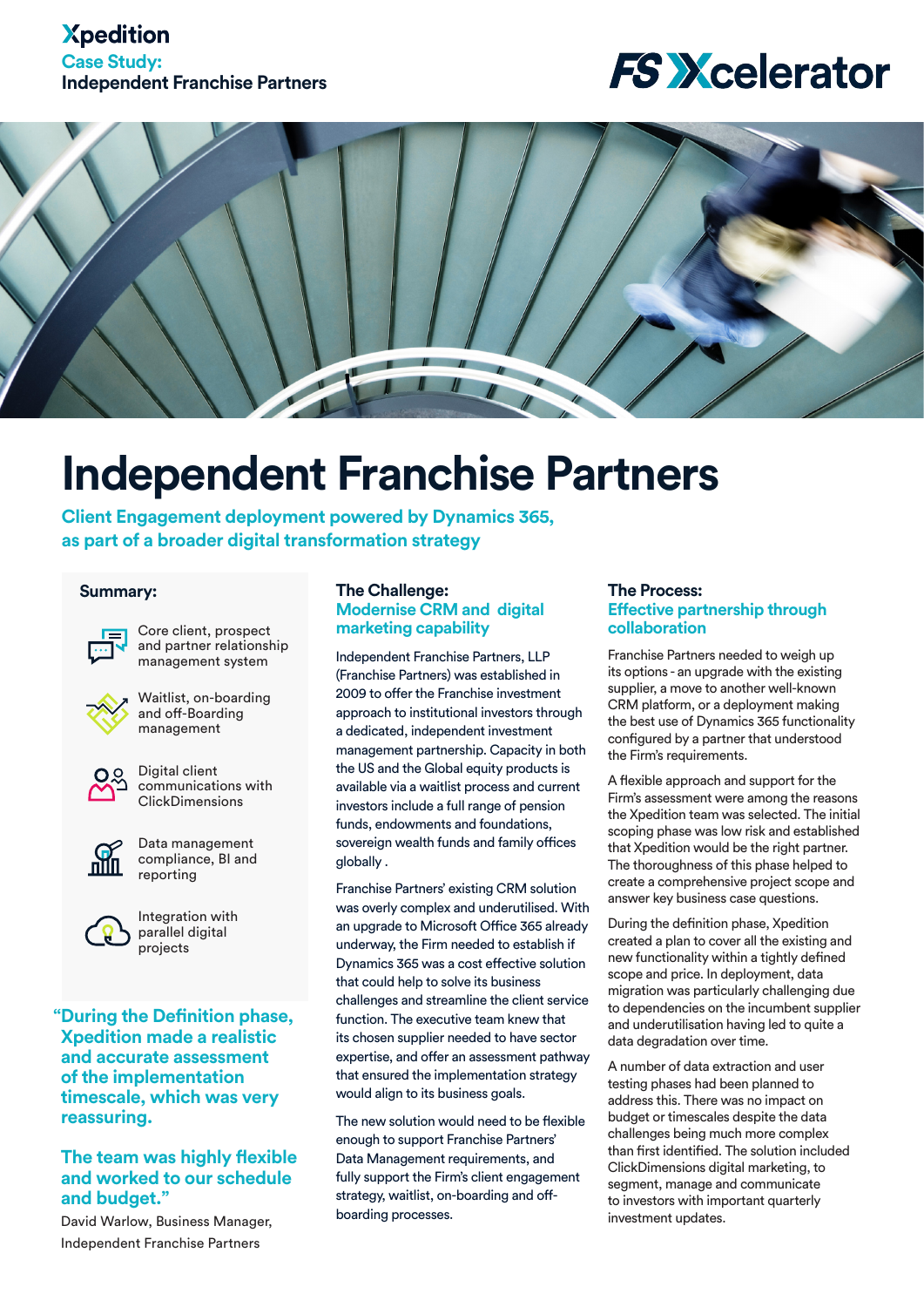## **Xpedition Case Study: Independent Franchise Partners**

## **FS Xcelerator**



# **Independent Franchise Partners**

**Client Engagement deployment powered by Dynamics 365, as part of a broader digital transformation strategy**

#### **Summary:**



Core client, prospect and partner relationship management system



Waitlist, on-boarding and off-Boarding management



Digital client communications with **ClickDimensions** 



Data management compliance, BI and reporting



Integration with parallel digital projects

**"During the Definition phase, Xpedition made a realistic and accurate assessment of the implementation timescale, which was very reassuring.** 

### **The team was highly flexible and worked to our schedule and budget."**

David Warlow, Business Manager, Independent Franchise Partners

#### **The Challenge: Modernise CRM and digital marketing capability**

Independent Franchise Partners, LLP (Franchise Partners) was established in 2009 to offer the Franchise investment approach to institutional investors through a dedicated, independent investment management partnership. Capacity in both the US and the Global equity products is available via a waitlist process and current investors include a full range of pension funds, endowments and foundations, sovereign wealth funds and family offices globally .

Franchise Partners' existing CRM solution was overly complex and underutilised. With an upgrade to Microsoft Office 365 already underway, the Firm needed to establish if Dynamics 365 was a cost effective solution that could help to solve its business challenges and streamline the client service function. The executive team knew that its chosen supplier needed to have sector expertise, and offer an assessment pathway that ensured the implementation strategy would align to its business goals.

The new solution would need to be flexible enough to support Franchise Partners' Data Management requirements, and fully support the Firm's client engagement strategy, waitlist, on-boarding and offboarding processes.

#### **The Process: Effective partnership through collaboration**

Franchise Partners needed to weigh up its options - an upgrade with the existing supplier, a move to another well-known CRM platform, or a deployment making the best use of Dynamics 365 functionality configured by a partner that understood the Firm's requirements.

A flexible approach and support for the Firm's assessment were among the reasons the Xpedition team was selected. The initial scoping phase was low risk and established that Xpedition would be the right partner. The thoroughness of this phase helped to create a comprehensive project scope and answer key business case questions.

During the definition phase, Xpedition created a plan to cover all the existing and new functionality within a tightly defined scope and price. In deployment, data migration was particularly challenging due to dependencies on the incumbent supplier and underutilisation having led to quite a data degradation over time.

A number of data extraction and user testing phases had been planned to address this. There was no impact on budget or timescales despite the data challenges being much more complex than first identified. The solution included ClickDimensions digital marketing, to segment, manage and communicate to investors with important quarterly investment updates.